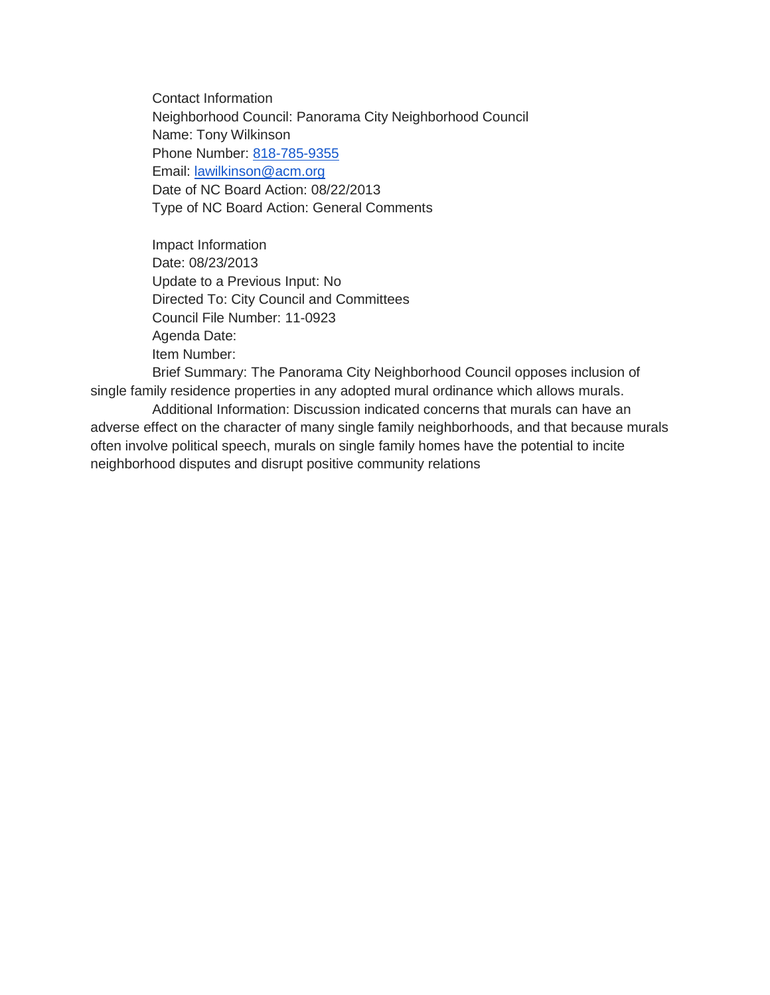Contact Information Neighborhood Council: Panorama City Neighborhood Council Name: Tony Wilkinson Phone Number: [818-785-9355](tel:818-785-9355) Email: [lawilkinson@acm.org](mailto:lawilkinson@acm.org) Date of NC Board Action: 08/22/2013 Type of NC Board Action: General Comments

Impact Information Date: 08/23/2013 Update to a Previous Input: No Directed To: City Council and Committees Council File Number: 11-0923 Agenda Date: Item Number:

Brief Summary: The Panorama City Neighborhood Council opposes inclusion of single family residence properties in any adopted mural ordinance which allows murals.

Additional Information: Discussion indicated concerns that murals can have an adverse effect on the character of many single family neighborhoods, and that because murals often involve political speech, murals on single family homes have the potential to incite neighborhood disputes and disrupt positive community relations